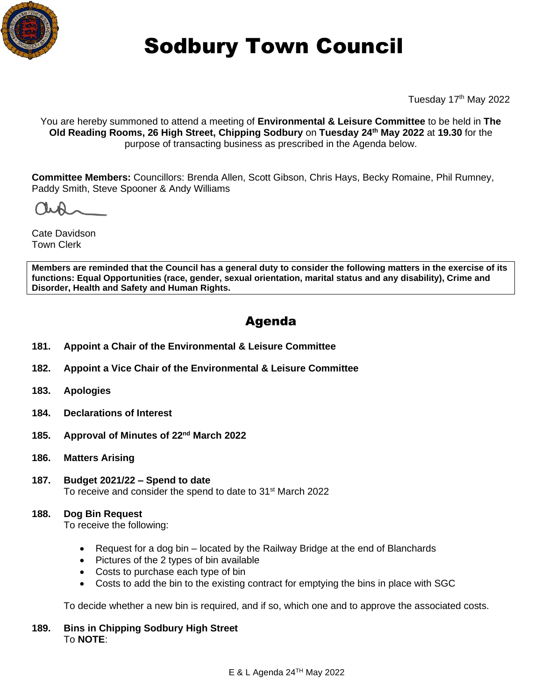

# Sodbury Town Council

Tuesday 17<sup>th</sup> May 2022

You are hereby summoned to attend a meeting of **Environmental & Leisure Committee** to be held in **The Old Reading Rooms, 26 High Street, Chipping Sodbury** on **Tuesday 24th May 2022** at **19.30** for the purpose of transacting business as prescribed in the Agenda below.

**Committee Members:** Councillors: Brenda Allen, Scott Gibson, Chris Hays, Becky Romaine, Phil Rumney, Paddy Smith, Steve Spooner & Andy Williams

Cate Davidson Town Clerk

**Members are reminded that the Council has a general duty to consider the following matters in the exercise of its functions: Equal Opportunities (race, gender, sexual orientation, marital status and any disability), Crime and Disorder, Health and Safety and Human Rights.** 

# Agenda

- **181. Appoint a Chair of the Environmental & Leisure Committee**
- **182. Appoint a Vice Chair of the Environmental & Leisure Committee**
- **183. Apologies**
- **184. Declarations of Interest**
- **185. Approval of Minutes of 22nd March 2022**
- **186. Matters Arising**
- **187. Budget 2021/22 – Spend to date** To receive and consider the spend to date to 31<sup>st</sup> March 2022

#### **188. Dog Bin Request**

To receive the following:

- Request for a dog bin located by the Railway Bridge at the end of Blanchards
- Pictures of the 2 types of bin available
- Costs to purchase each type of bin
- Costs to add the bin to the existing contract for emptying the bins in place with SGC

To decide whether a new bin is required, and if so, which one and to approve the associated costs.

**189. Bins in Chipping Sodbury High Street**  To **NOTE**: